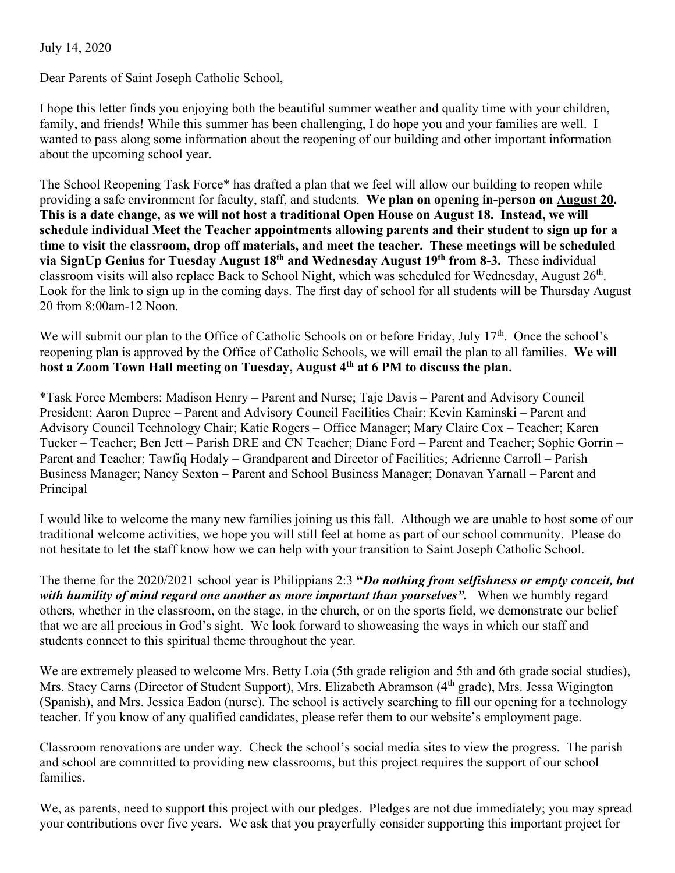## July 14, 2020

Dear Parents of Saint Joseph Catholic School,

I hope this letter finds you enjoying both the beautiful summer weather and quality time with your children, family, and friends! While this summer has been challenging, I do hope you and your families are well. I wanted to pass along some information about the reopening of our building and other important information about the upcoming school year.

The School Reopening Task Force\* has drafted a plan that we feel will allow our building to reopen while providing a safe environment for faculty, staff, and students. **We plan on opening in-person on August 20. This is a date change, as we will not host a traditional Open House on August 18. Instead, we will schedule individual Meet the Teacher appointments allowing parents and their student to sign up for a time to visit the classroom, drop off materials, and meet the teacher. These meetings will be scheduled via SignUp Genius for Tuesday August 18th and Wednesday August 19th from 8-3.** These individual classroom visits will also replace Back to School Night, which was scheduled for Wednesday, August 26<sup>th</sup>. Look for the link to sign up in the coming days. The first day of school for all students will be Thursday August 20 from 8:00am-12 Noon.

We will submit our plan to the Office of Catholic Schools on or before Friday, July 17<sup>th</sup>. Once the school's reopening plan is approved by the Office of Catholic Schools, we will email the plan to all families. **We will host a Zoom Town Hall meeting on Tuesday, August 4th at 6 PM to discuss the plan.** 

\*Task Force Members: Madison Henry – Parent and Nurse; Taje Davis – Parent and Advisory Council President; Aaron Dupree – Parent and Advisory Council Facilities Chair; Kevin Kaminski – Parent and Advisory Council Technology Chair; Katie Rogers – Office Manager; Mary Claire Cox – Teacher; Karen Tucker – Teacher; Ben Jett – Parish DRE and CN Teacher; Diane Ford – Parent and Teacher; Sophie Gorrin – Parent and Teacher; Tawfiq Hodaly – Grandparent and Director of Facilities; Adrienne Carroll – Parish Business Manager; Nancy Sexton – Parent and School Business Manager; Donavan Yarnall – Parent and Principal

I would like to welcome the many new families joining us this fall. Although we are unable to host some of our traditional welcome activities, we hope you will still feel at home as part of our school community. Please do not hesitate to let the staff know how we can help with your transition to Saint Joseph Catholic School.

The theme for the 2020/2021 school year is Philippians 2:3 **"***Do nothing from selfishness or empty conceit, but with humility of mind regard one another as more important than yourselves".* When we humbly regard others, whether in the classroom, on the stage, in the church, or on the sports field, we demonstrate our belief that we are all precious in God's sight. We look forward to showcasing the ways in which our staff and students connect to this spiritual theme throughout the year.

We are extremely pleased to welcome Mrs. Betty Loia (5th grade religion and 5th and 6th grade social studies), Mrs. Stacy Carns (Director of Student Support), Mrs. Elizabeth Abramson (4<sup>th</sup> grade), Mrs. Jessa Wigington (Spanish), and Mrs. Jessica Eadon (nurse). The school is actively searching to fill our opening for a technology teacher. If you know of any qualified candidates, please refer them to our website's employment page.

Classroom renovations are under way. Check the school's social media sites to view the progress. The parish and school are committed to providing new classrooms, but this project requires the support of our school families.

We, as parents, need to support this project with our pledges. Pledges are not due immediately; you may spread your contributions over five years. We ask that you prayerfully consider supporting this important project for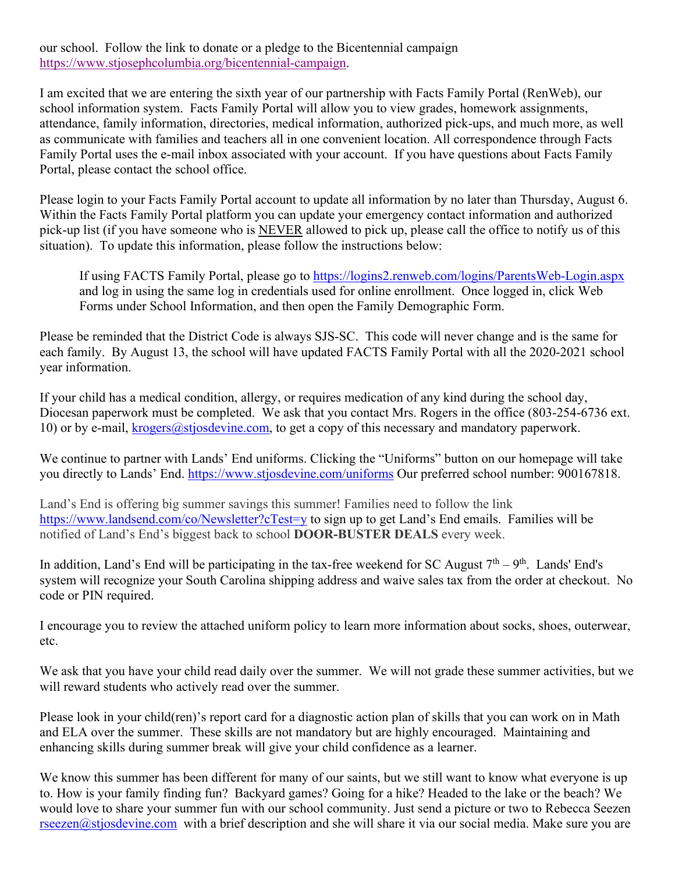our school. Follow the link to donate or a pledge to the Bicentennial campaign [https://www.stjosephcolumbia.org/bicentennial-campaign.](https://www.stjosephcolumbia.org/bicentennial-campaign)

I am excited that we are entering the sixth year of our partnership with Facts Family Portal (RenWeb), our school information system. Facts Family Portal will allow you to view grades, homework assignments, attendance, family information, directories, medical information, authorized pick-ups, and much more, as well as communicate with families and teachers all in one convenient location. All correspondence through Facts Family Portal uses the e-mail inbox associated with your account. If you have questions about Facts Family Portal, please contact the school office.

Please login to your Facts Family Portal account to update all information by no later than Thursday, August 6. Within the Facts Family Portal platform you can update your emergency contact information and authorized pick-up list (if you have someone who is NEVER allowed to pick up, please call the office to notify us of this situation). To update this information, please follow the instructions below:

If using FACTS Family Portal, please go to<https://logins2.renweb.com/logins/ParentsWeb-Login.aspx> and log in using the same log in credentials used for online enrollment. Once logged in, click Web Forms under School Information, and then open the Family Demographic Form.

Please be reminded that the District Code is always SJS-SC. This code will never change and is the same for each family. By August 13, the school will have updated FACTS Family Portal with all the 2020-2021 school year information.

If your child has a medical condition, allergy, or requires medication of any kind during the school day, Diocesan paperwork must be completed. We ask that you contact Mrs. Rogers in the office (803-254-6736 ext. 10) or by e-mail, [krogers@stjosdevine.com,](mailto:Krogers@stjosdevine.com) to get a copy of this necessary and mandatory paperwork.

We continue to partner with Lands' End uniforms. Clicking the "Uniforms" button on our homepage will take you directly to Lands' End. <https://www.stjosdevine.com/uniforms> Our preferred school number: 900167818.

Land's End is offering big summer savings this summer! Families need to follow the link <https://www.landsend.com/co/Newsletter?cTest=y> to sign up to get Land's End emails. Families will be notified of Land's End's biggest back to school **DOOR-BUSTER DEALS** every week.

In addition, Land's End will be participating in the tax-free weekend for SC August  $7<sup>th</sup> - 9<sup>th</sup>$ . Lands' End's system will recognize your South Carolina shipping address and waive sales tax from the order at checkout. No code or PIN required.

I encourage you to review the attached uniform policy to learn more information about socks, shoes, outerwear, etc.

We ask that you have your child read daily over the summer. We will not grade these summer activities, but we will reward students who actively read over the summer.

Please look in your child(ren)'s report card for a diagnostic action plan of skills that you can work on in Math and ELA over the summer. These skills are not mandatory but are highly encouraged. Maintaining and enhancing skills during summer break will give your child confidence as a learner.

We know this summer has been different for many of our saints, but we still want to know what everyone is up to. How is your family finding fun? Backyard games? Going for a hike? Headed to the lake or the beach? We would love to share your summer fun with our school community. Just send a picture or two to Rebecca Seezen [rseezen@stjosdevine.com](mailto:rseezen@stjosdevine.com) with a brief description and she will share it via our social media. Make sure you are